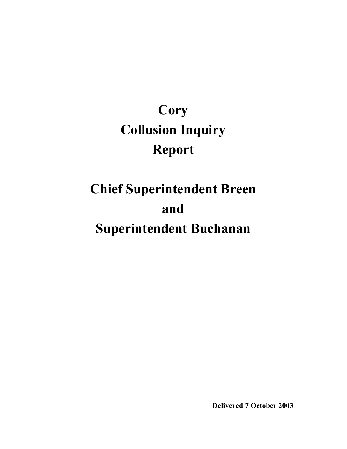# **Cory Collusion Inquiry Report**

# **Chief Superintendent Breen and Superintendent Buchanan**

**Delivered 7 October 2003**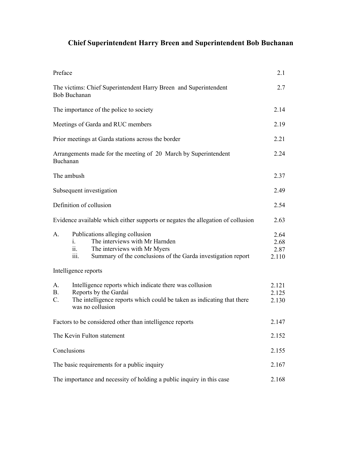# **Chief Superintendent Harry Breen and Superintendent Bob Buchanan**

| Preface                                                                         |                                                                                                                                                                                        | 2.1                           |
|---------------------------------------------------------------------------------|----------------------------------------------------------------------------------------------------------------------------------------------------------------------------------------|-------------------------------|
|                                                                                 | The victims: Chief Superintendent Harry Breen and Superintendent<br><b>Bob Buchanan</b>                                                                                                | 2.7                           |
|                                                                                 | The importance of the police to society                                                                                                                                                | 2.14                          |
| Meetings of Garda and RUC members                                               |                                                                                                                                                                                        | 2.19                          |
| Prior meetings at Garda stations across the border                              |                                                                                                                                                                                        | 2.21                          |
|                                                                                 | Arrangements made for the meeting of 20 March by Superintendent<br>Buchanan                                                                                                            | 2.24                          |
|                                                                                 | The ambush                                                                                                                                                                             | 2.37                          |
| Subsequent investigation                                                        |                                                                                                                                                                                        | 2.49                          |
| Definition of collusion                                                         |                                                                                                                                                                                        | 2.54                          |
| Evidence available which either supports or negates the allegation of collusion |                                                                                                                                                                                        | 2.63                          |
| A.                                                                              | Publications alleging collusion<br>The interviews with Mr Harnden<br>1.<br>The interviews with Mr Myers<br>11.<br>Summary of the conclusions of the Garda investigation report<br>111. | 2.64<br>2.68<br>2.87<br>2.110 |
|                                                                                 | Intelligence reports                                                                                                                                                                   |                               |
| А.<br><b>B.</b><br>C.                                                           | Intelligence reports which indicate there was collusion<br>Reports by the Gardaí<br>The intelligence reports which could be taken as indicating that there<br>was no collusion         | 2.121<br>2.125<br>2.130       |
| Factors to be considered other than intelligence reports                        |                                                                                                                                                                                        | 2.147                         |
| The Kevin Fulton statement                                                      |                                                                                                                                                                                        | 2.152                         |
| Conclusions                                                                     |                                                                                                                                                                                        | 2.155                         |
| The basic requirements for a public inquiry                                     |                                                                                                                                                                                        | 2.167                         |
| The importance and necessity of holding a public inquiry in this case           |                                                                                                                                                                                        | 2.168                         |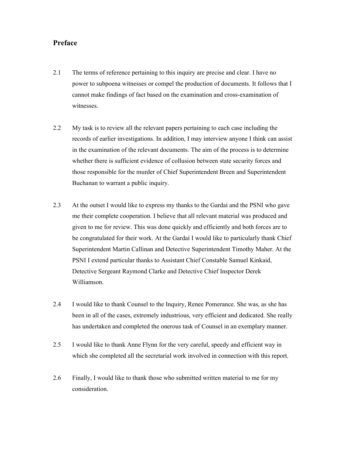## **Preface**

- 2.1 The terms of reference pertaining to this inquiry are precise and clear. I have no power to subpoena witnesses or compel the production of documents. It follows that I cannot make findings of fact based on the examination and cross-examination of witnesses.
- 2.2 My task is to review all the relevant papers pertaining to each case including the records of earlier investigations. In addition, I may interview anyone I think can assist in the examination of the relevant documents. The aim of the process is to determine whether there is sufficient evidence of collusion between state security forces and those responsible for the murder of Chief Superintendent Breen and Superintendent Buchanan to warrant a public inquiry.
- 2.3 At the outset I would like to express my thanks to the Gardaí and the PSNI who gave me their complete cooperation. I believe that all relevant material was produced and given to me for review. This was done quickly and efficiently and both forces are to be congratulated for their work. At the Gardaí I would like to particularly thank Chief Superintendent Martin Callinan and Detective Superintendent Timothy Maher. At the PSNI I extend particular thanks to Assistant Chief Constable Samuel Kinkaid, Detective Sergeant Raymond Clarke and Detective Chief Inspector Derek Williamson.
- 2.4 I would like to thank Counsel to the Inquiry, Renee Pomerance. She was, as she has been in all of the cases, extremely industrious, very efficient and dedicated. She really has undertaken and completed the onerous task of Counsel in an exemplary manner.
- 2.5 I would like to thank Anne Flynn for the very careful, speedy and efficient way in which she completed all the secretarial work involved in connection with this report.
- 2.6 Finally, I would like to thank those who submitted written material to me for my consideration.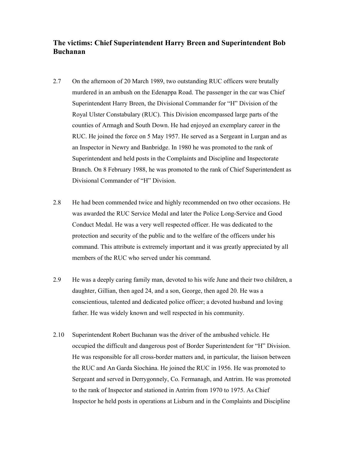# **The victims: Chief Superintendent Harry Breen and Superintendent Bob Buchanan**

- 2.7 On the afternoon of 20 March 1989, two outstanding RUC officers were brutally murdered in an ambush on the Edenappa Road. The passenger in the car was Chief Superintendent Harry Breen, the Divisional Commander for "H" Division of the Royal Ulster Constabulary (RUC). This Division encompassed large parts of the counties of Armagh and South Down. He had enjoyed an exemplary career in the RUC. He joined the force on 5 May 1957. He served as a Sergeant in Lurgan and as an Inspector in Newry and Banbridge. In 1980 he was promoted to the rank of Superintendent and held posts in the Complaints and Discipline and Inspectorate Branch. On 8 February 1988, he was promoted to the rank of Chief Superintendent as Divisional Commander of "H" Division.
- 2.8 He had been commended twice and highly recommended on two other occasions. He was awarded the RUC Service Medal and later the Police Long-Service and Good Conduct Medal. He was a very well respected officer. He was dedicated to the protection and security of the public and to the welfare of the officers under his command. This attribute is extremely important and it was greatly appreciated by all members of the RUC who served under his command.
- 2.9 He was a deeply caring family man, devoted to his wife June and their two children, a daughter, Gillian, then aged 24, and a son, George, then aged 20. He was a conscientious, talented and dedicated police officer; a devoted husband and loving father. He was widely known and well respected in his community.
- 2.10 Superintendent Robert Buchanan was the driver of the ambushed vehicle. He occupied the difficult and dangerous post of Border Superintendent for "H" Division. He was responsible for all cross-border matters and, in particular, the liaison between the RUC and An Garda Síochána. He joined the RUC in 1956. He was promoted to Sergeant and served in Derrygonnely, Co. Fermanagh, and Antrim. He was promoted to the rank of Inspector and stationed in Antrim from 1970 to 1975. As Chief Inspector he held posts in operations at Lisburn and in the Complaints and Discipline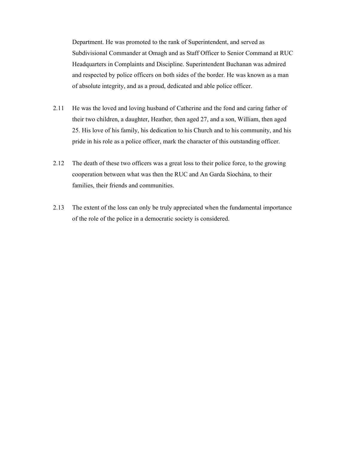Department. He was promoted to the rank of Superintendent, and served as Subdivisional Commander at Omagh and as Staff Officer to Senior Command at RUC Headquarters in Complaints and Discipline. Superintendent Buchanan was admired and respected by police officers on both sides of the border. He was known as a man of absolute integrity, and as a proud, dedicated and able police officer.

- 2.11 He was the loved and loving husband of Catherine and the fond and caring father of their two children, a daughter, Heather, then aged 27, and a son, William, then aged 25. His love of his family, his dedication to his Church and to his community, and his pride in his role as a police officer, mark the character of this outstanding officer.
- 2.12 The death of these two officers was a great loss to their police force, to the growing cooperation between what was then the RUC and An Garda Síochána, to their families, their friends and communities.
- 2.13 The extent of the loss can only be truly appreciated when the fundamental importance of the role of the police in a democratic society is considered.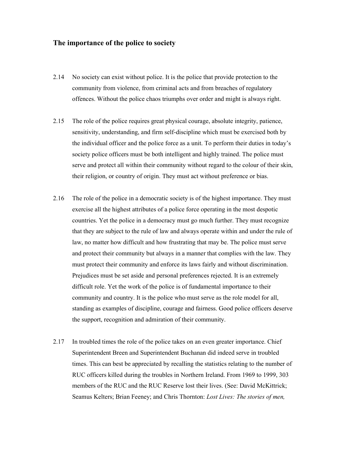#### **The importance of the police to society**

- 2.14 No society can exist without police. It is the police that provide protection to the community from violence, from criminal acts and from breaches of regulatory offences. Without the police chaos triumphs over order and might is always right.
- 2.15 The role of the police requires great physical courage, absolute integrity, patience, sensitivity, understanding, and firm self-discipline which must be exercised both by the individual officer and the police force as a unit. To perform their duties in today's society police officers must be both intelligent and highly trained. The police must serve and protect all within their community without regard to the colour of their skin, their religion, or country of origin. They must act without preference or bias.
- 2.16 The role of the police in a democratic society is of the highest importance. They must exercise all the highest attributes of a police force operating in the most despotic countries. Yet the police in a democracy must go much further. They must recognize that they are subject to the rule of law and always operate within and under the rule of law, no matter how difficult and how frustrating that may be. The police must serve and protect their community but always in a manner that complies with the law. They must protect their community and enforce its laws fairly and without discrimination. Prejudices must be set aside and personal preferences rejected. It is an extremely difficult role. Yet the work of the police is of fundamental importance to their community and country. It is the police who must serve as the role model for all, standing as examples of discipline, courage and fairness. Good police officers deserve the support, recognition and admiration of their community.
- 2.17 In troubled times the role of the police takes on an even greater importance. Chief Superintendent Breen and Superintendent Buchanan did indeed serve in troubled times. This can best be appreciated by recalling the statistics relating to the number of RUC officers killed during the troubles in Northern Ireland. From 1969 to 1999, 303 members of the RUC and the RUC Reserve lost their lives. (See: David McKittrick; Seamus Kelters; Brian Feeney; and Chris Thornton: *Lost Lives: The stories of men,*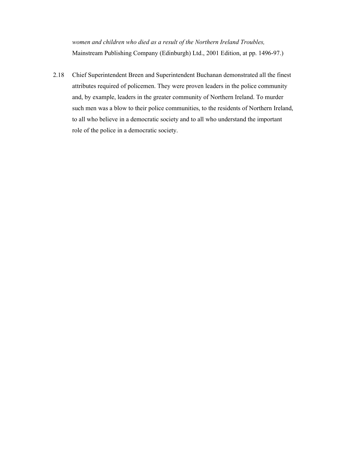*women and children who died as a result of the Northern Ireland Troubles,* Mainstream Publishing Company (Edinburgh) Ltd., 2001 Edition, at pp. 1496-97.)

2.18 Chief Superintendent Breen and Superintendent Buchanan demonstrated all the finest attributes required of policemen. They were proven leaders in the police community and, by example, leaders in the greater community of Northern Ireland. To murder such men was a blow to their police communities, to the residents of Northern Ireland, to all who believe in a democratic society and to all who understand the important role of the police in a democratic society.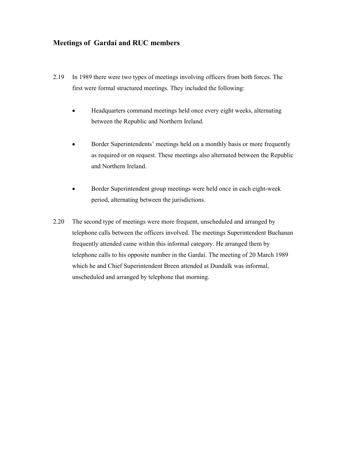# **Meetings of Gardaí and RUC members**

- 2.19 In 1989 there were two types of meetings involving officers from both forces. The first were formal structured meetings. They included the following:
	- $\bullet$  Headquarters command meetings held once every eight weeks, alternating between the Republic and Northern Ireland.
	- - Border Superintendents' meetings held on a monthly basis or more frequently as required or on request. These meetings also alternated between the Republic and Northern Ireland.
	- $\bullet$  Border Superintendent group meetings were held once in each eight-week period, alternating between the jurisdictions.
- 2.20 The second type of meetings were more frequent, unscheduled and arranged by telephone calls between the officers involved. The meetings Superintendent Buchanan frequently attended came within this informal category. He arranged them by telephone calls to his opposite number in the Gardaí. The meeting of 20 March 1989 which he and Chief Superintendent Breen attended at Dundalk was informal, unscheduled and arranged by telephone that morning.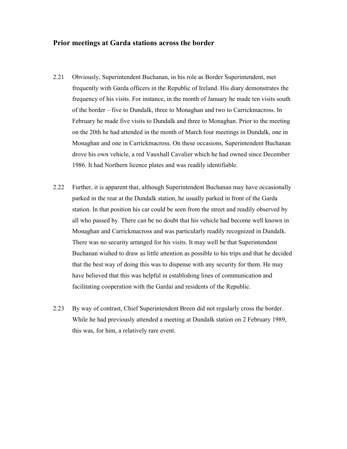#### **Prior meetings at Garda stations across the border**

- 2.21 Obviously, Superintendent Buchanan, in his role as Border Superintendent, met frequently with Garda officers in the Republic of Ireland. His diary demonstrates the frequency of his visits. For instance, in the month of January he made ten visits south of the border – five to Dundalk, three to Monaghan and two to Carrickmacross. In February he made five visits to Dundalk and three to Monaghan. Prior to the meeting on the 20th he had attended in the month of March four meetings in Dundalk, one in Monaghan and one in Carrickmacross. On these occasions, Superintendent Buchanan drove his own vehicle, a red Vauxhall Cavalier which he had owned since December 1986. It had Northern licence plates and was readily identifiable.
- 2.22 Further, it is apparent that, although Superintendent Buchanan may have occasionally parked in the rear at the Dundalk station, he usually parked in front of the Garda station. In that position his car could be seen from the street and readily observed by all who passed by. There can be no doubt that his vehicle had become well known in Monaghan and Carrickmacross and was particularly readily recognized in Dundalk. There was no security arranged for his visits. It may well be that Superintendent Buchanan wished to draw as little attention as possible to his trips and that he decided that the best way of doing this was to dispense with any security for them. He may have believed that this was helpful in establishing lines of communication and facilitating cooperation with the Gardaí and residents of the Republic.
- 2.23 By way of contrast, Chief Superintendent Breen did not regularly cross the border. While he had previously attended a meeting at Dundalk station on 2 February 1989, this was, for him, a relatively rare event.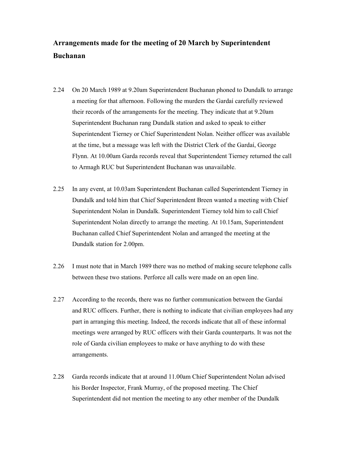# **Arrangements made for the meeting of 20 March by Superintendent Buchanan**

- 2.24 On 20 March 1989 at 9.20am Superintendent Buchanan phoned to Dundalk to arrange a meeting for that afternoon. Following the murders the Gardaí carefully reviewed their records of the arrangements for the meeting. They indicate that at 9.20am Superintendent Buchanan rang Dundalk station and asked to speak to either Superintendent Tierney or Chief Superintendent Nolan. Neither officer was available at the time, but a message was left with the District Clerk of the Gardaí, George Flynn. At 10.00am Garda records reveal that Superintendent Tierney returned the call to Armagh RUC but Superintendent Buchanan was unavailable.
- 2.25 In any event, at 10.03am Superintendent Buchanan called Superintendent Tierney in Dundalk and told him that Chief Superintendent Breen wanted a meeting with Chief Superintendent Nolan in Dundalk. Superintendent Tierney told him to call Chief Superintendent Nolan directly to arrange the meeting. At 10.15am, Superintendent Buchanan called Chief Superintendent Nolan and arranged the meeting at the Dundalk station for 2.00pm.
- 2.26 I must note that in March 1989 there was no method of making secure telephone calls between these two stations. Perforce all calls were made on an open line.
- 2.27 According to the records, there was no further communication between the Gardaí and RUC officers. Further, there is nothing to indicate that civilian employees had any part in arranging this meeting. Indeed, the records indicate that all of these informal meetings were arranged by RUC officers with their Garda counterparts. It was not the role of Garda civilian employees to make or have anything to do with these arrangements.
- 2.28 Garda records indicate that at around 11.00am Chief Superintendent Nolan advised his Border Inspector, Frank Murray, of the proposed meeting. The Chief Superintendent did not mention the meeting to any other member of the Dundalk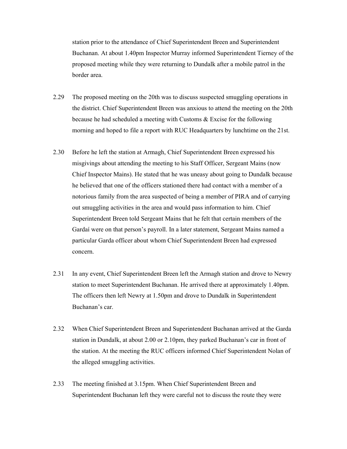station prior to the attendance of Chief Superintendent Breen and Superintendent Buchanan. At about 1.40pm Inspector Murray informed Superintendent Tierney of the proposed meeting while they were returning to Dundalk after a mobile patrol in the border area.

- 2.29 The proposed meeting on the 20th was to discuss suspected smuggling operations in the district. Chief Superintendent Breen was anxious to attend the meeting on the 20th because he had scheduled a meeting with Customs & Excise for the following morning and hoped to file a report with RUC Headquarters by lunchtime on the 21st.
- 2.30 Before he left the station at Armagh, Chief Superintendent Breen expressed his misgivings about attending the meeting to his Staff Officer, Sergeant Mains (now Chief Inspector Mains). He stated that he was uneasy about going to Dundalk because he believed that one of the officers stationed there had contact with a member of a notorious family from the area suspected of being a member of PIRA and of carrying out smuggling activities in the area and would pass information to him. Chief Superintendent Breen told Sergeant Mains that he felt that certain members of the Gardaí were on that person's payroll. In a later statement, Sergeant Mains named a particular Garda officer about whom Chief Superintendent Breen had expressed concern.
- 2.31 In any event, Chief Superintendent Breen left the Armagh station and drove to Newry station to meet Superintendent Buchanan. He arrived there at approximately 1.40pm. The officers then left Newry at 1.50pm and drove to Dundalk in Superintendent Buchanan's car.
- 2.32 When Chief Superintendent Breen and Superintendent Buchanan arrived at the Garda station in Dundalk, at about 2.00 or 2.10pm, they parked Buchanan's car in front of the station. At the meeting the RUC officers informed Chief Superintendent Nolan of the alleged smuggling activities.
- 2.33 The meeting finished at 3.15pm. When Chief Superintendent Breen and Superintendent Buchanan left they were careful not to discuss the route they were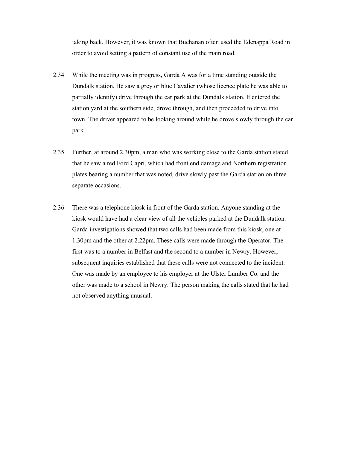taking back. However, it was known that Buchanan often used the Edenappa Road in order to avoid setting a pattern of constant use of the main road.

- 2.34 While the meeting was in progress, Garda A was for a time standing outside the Dundalk station. He saw a grey or blue Cavalier (whose licence plate he was able to partially identify) drive through the car park at the Dundalk station. It entered the station yard at the southern side, drove through, and then proceeded to drive into town. The driver appeared to be looking around while he drove slowly through the car park.
- 2.35 Further, at around 2.30pm, a man who was working close to the Garda station stated that he saw a red Ford Capri, which had front end damage and Northern registration plates bearing a number that was noted, drive slowly past the Garda station on three separate occasions.
- 2.36 There was a telephone kiosk in front of the Garda station. Anyone standing at the kiosk would have had a clear view of all the vehicles parked at the Dundalk station. Garda investigations showed that two calls had been made from this kiosk, one at 1.30pm and the other at 2.22pm. These calls were made through the Operator. The first was to a number in Belfast and the second to a number in Newry. However, subsequent inquiries established that these calls were not connected to the incident. One was made by an employee to his employer at the Ulster Lumber Co. and the other was made to a school in Newry. The person making the calls stated that he had not observed anything unusual.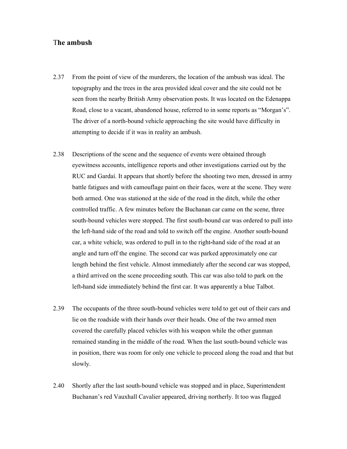## T**he ambush**

- 2.37 From the point of view of the murderers, the location of the ambush was ideal. The topography and the trees in the area provided ideal cover and the site could not be seen from the nearby British Army observation posts. It was located on the Edenappa Road, close to a vacant, abandoned house, referred to in some reports as "Morgan's". The driver of a north-bound vehicle approaching the site would have difficulty in attempting to decide if it was in reality an ambush.
- 2.38 Descriptions of the scene and the sequence of events were obtained through eyewitness accounts, intelligence reports and other investigations carried out by the RUC and Gardaí. It appears that shortly before the shooting two men, dressed in army battle fatigues and with camouflage paint on their faces, were at the scene. They were both armed. One was stationed at the side of the road in the ditch, while the other controlled traffic. A few minutes before the Buchanan car came on the scene, three south-bound vehicles were stopped. The first south-bound car was ordered to pull into the left-hand side of the road and told to switch off the engine. Another south-bound car, a white vehicle, was ordered to pull in to the right**-**hand side of the road at an angle and turn off the engine. The second car was parked approximately one car length behind the first vehicle. Almost immediately after the second car was stopped, a third arrived on the scene proceeding south. This car was also told to park on the left**-**hand side immediately behind the first car. It was apparently a blue Talbot.
- 2.39 The occupants of the three south-bound vehicles were told to get out of their cars and lie on the roadside with their hands over their heads. One of the two armed men covered the carefully placed vehicles with his weapon while the other gunman remained standing in the middle of the road. When the last south-bound vehicle was in position, there was room for only one vehicle to proceed along the road and that but slowly.
- 2.40 Shortly after the last south-bound vehicle was stopped and in place, Superintendent Buchanan's red Vauxhall Cavalier appeared, driving northerly. It too was flagged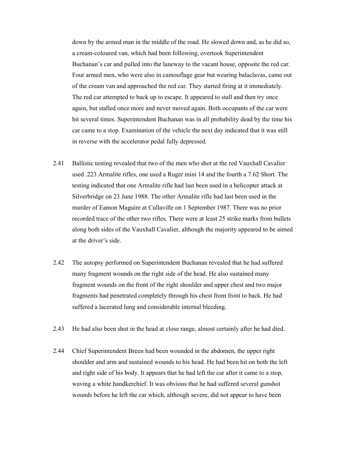down by the armed man in the middle of the road. He slowed down and, as he did so, a cream-coloured van, which had been following, overtook Superintendent Buchanan's car and pulled into the laneway to the vacant house, opposite the red car. Four armed men, who were also in camouflage gear but wearing balaclavas, came out of the cream van and approached the red car. They started firing at it immediately. The red car attempted to back up to escape. It appeared to stall and then try once again, but stalled once more and never moved again. Both occupants of the car were hit several times. Superintendent Buchanan was in all probability dead by the time his car came to a stop. Examination of the vehicle the next day indicated that it was still in reverse with the accelerator pedal fully depressed.

- 2.41 Ballistic testing revealed that two of the men who shot at the red Vauxhall Cavalier used .223 Armalite rifles, one used a Ruger mini 14 and the fourth a 7.62 Short. The testing indicated that one Armalite rifle had last been used in a helicopter attack at Silverbridge on 23 June 1988. The other Armalite rifle had last been used in the murder of Eamon Maguire at Cullaville on 1 September 1987. There was no prior recorded trace of the other two rifles. There were at least 25 strike marks from bullets along both sides of the Vauxhall Cavalier, although the majority appeared to be aimed at the driver's side.
- 2.42 The autopsy performed on Superintendent Buchanan revealed that he had suffered many fragment wounds on the right side of the head. He also sustained many fragment wounds on the front of the right shoulder and upper chest and two major fragments had penetrated completely through his chest from front to back. He had suffered a lacerated lung and considerable internal bleeding.
- 2.43 He had also been shot in the head at close range, almost certainly after he had died.
- 2.44 Chief Superintendent Breen had been wounded in the abdomen, the upper right shoulder and arm and sustained wounds to his head. He had been hit on both the left and right side of his body. It appears that he had left the car after it came to a stop, waving a white handkerchief. It was obvious that he had suffered several gunshot wounds before he left the car which, although severe, did not appear to have been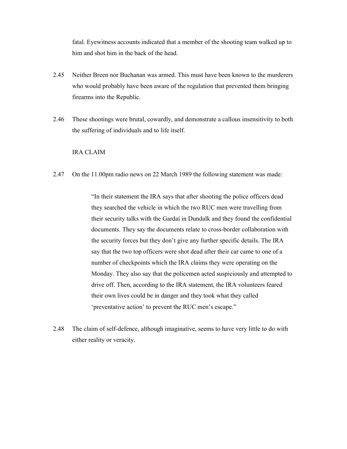fatal. Eyewitness accounts indicated that a member of the shooting team walked up to him and shot him in the back of the head.

- 2.45 Neither Breen nor Buchanan was armed. This must have been known to the murderers who would probably have been aware of the regulation that prevented them bringing firearms into the Republic.
- 2.46 These shootings were brutal, cowardly, and demonstrate a callous insensitivity to both the suffering of individuals and to life itself.

#### IRA CLAIM

2.47 On the 11.00pm radio news on 22 March 1989 the following statement was made:

"In their statement the IRA says that after shooting the police officers dead they searched the vehicle in which the two RUC men were travelling from their security talks with the Gardaí in Dundalk and they found the confidential documents. They say the documents relate to cross-border collaboration with the security forces but they don't give any further specific details. The IRA say that the two top officers were shot dead after their car came to one of a number of checkpoints which the IRA claims they were operating on the Monday. They also say that the policemen acted suspiciously and attempted to drive off. Then, according to the IRA statement, the IRA volunteers feared their own lives could be in danger and they took what they called 'preventative action' to prevent the RUC men's escape."

2.48 The claim of self-defence, although imaginative, seems to have very little to do with either reality or veracity.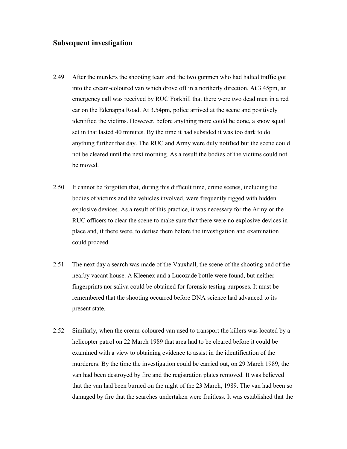### **Subsequent investigation**

- 2.49 After the murders the shooting team and the two gunmen who had halted traffic got into the cream-coloured van which drove off in a northerly direction. At 3.45pm, an emergency call was received by RUC Forkhill that there were two dead men in a red car on the Edenappa Road. At 3.54pm, police arrived at the scene and positively identified the victims. However, before anything more could be done, a snow squall set in that lasted 40 minutes. By the time it had subsided it was too dark to do anything further that day. The RUC and Army were duly notified but the scene could not be cleared until the next morning. As a result the bodies of the victims could not be moved.
- 2.50 It cannot be forgotten that, during this difficult time, crime scenes, including the bodies of victims and the vehicles involved, were frequently rigged with hidden explosive devices. As a result of this practice, it was necessary for the Army or the RUC officers to clear the scene to make sure that there were no explosive devices in place and, if there were, to defuse them before the investigation and examination could proceed.
- 2.51 The next day a search was made of the Vauxhall, the scene of the shooting and of the nearby vacant house. A Kleenex and a Lucozade bottle were found, but neither fingerprints nor saliva could be obtained for forensic testing purposes. It must be remembered that the shooting occurred before DNA science had advanced to its present state.
- 2.52 Similarly, when the cream-coloured van used to transport the killers was located by a helicopter patrol on 22 March 1989 that area had to be cleared before it could be examined with a view to obtaining evidence to assist in the identification of the murderers. By the time the investigation could be carried out, on 29 March 1989, the van had been destroyed by fire and the registration plates removed. It was believed that the van had been burned on the night of the 23 March, 1989. The van had been so damaged by fire that the searches undertaken were fruitless. It was established that the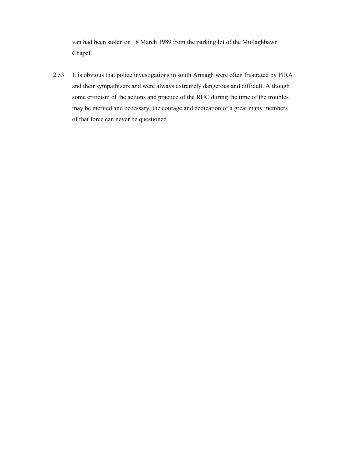van had been stolen on 18 March 1989 from the parking lot of the Mullaghbawn Chapel.

2.53 It is obvious that police investigations in south Armagh were often frustrated by PIRA and their sympathizers and were always extremely dangerous and difficult. Although some criticism of the actions and practice of the RUC during the time of the troubles may be merited and necessary, the courage and dedication of a great many members of that force can never be questioned.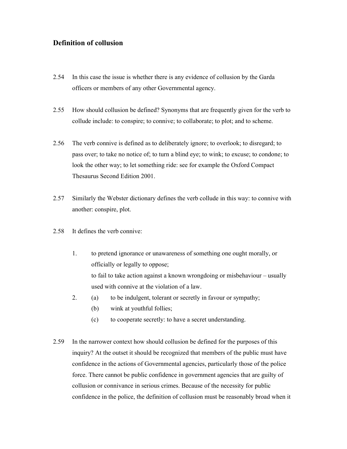# **Definition of collusion**

- 2.54 In this case the issue is whether there is any evidence of collusion by the Garda officers or members of any other Governmental agency.
- 2.55 How should collusion be defined? Synonyms that are frequently given for the verb to collude include: to conspire; to connive; to collaborate; to plot; and to scheme.
- 2.56 The verb connive is defined as to deliberately ignore; to overlook; to disregard; to pass over; to take no notice of; to turn a blind eye; to wink; to excuse; to condone; to look the other way; to let something ride: see for example the Oxford Compact Thesaurus Second Edition 2001.
- 2.57 Similarly the Webster dictionary defines the verb collude in this way: to connive with another: conspire, plot.
- 2.58 It defines the verb connive:
	- 1. to pretend ignorance or unawareness of something one ought morally, or officially or legally to oppose; to fail to take action against a known wrongdoing or misbehaviour – usually used with connive at the violation of a law.
	- 2. (a) to be indulgent, tolerant or secretly in favour or sympathy;
		- (b) wink at youthful follies;
		- (c) to cooperate secretly: to have a secret understanding.
- 2.59 In the narrower context how should collusion be defined for the purposes of this inquiry? At the outset it should be recognized that members of the public must have confidence in the actions of Governmental agencies, particularly those of the police force. There cannot be public confidence in government agencies that are guilty of collusion or connivance in serious crimes. Because of the necessity for public confidence in the police, the definition of collusion must be reasonably broad when it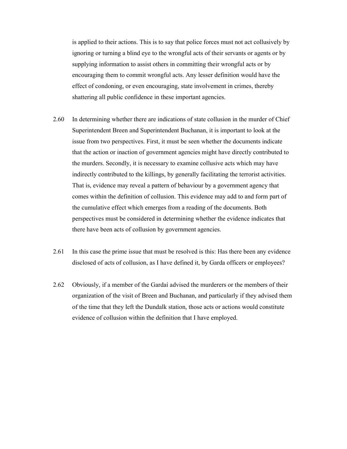is applied to their actions. This is to say that police forces must not act collusively by ignoring or turning a blind eye to the wrongful acts of their servants or agents or by supplying information to assist others in committing their wrongful acts or by encouraging them to commit wrongful acts. Any lesser definition would have the effect of condoning, or even encouraging, state involvement in crimes, thereby shattering all public confidence in these important agencies.

- 2.60 In determining whether there are indications of state collusion in the murder of Chief Superintendent Breen and Superintendent Buchanan, it is important to look at the issue from two perspectives. First, it must be seen whether the documents indicate that the action or inaction of government agencies might have directly contributed to the murders. Secondly, it is necessary to examine collusive acts which may have indirectly contributed to the killings, by generally facilitating the terrorist activities. That is, evidence may reveal a pattern of behaviour by a government agency that comes within the definition of collusion. This evidence may add to and form part of the cumulative effect which emerges from a reading of the documents. Both perspectives must be considered in determining whether the evidence indicates that there have been acts of collusion by government agencies.
- 2.61 In this case the prime issue that must be resolved is this: Has there been any evidence disclosed of acts of collusion, as I have defined it, by Garda officers or employees?
- 2.62 Obviously, if a member of the Gardaí advised the murderers or the members of their organization of the visit of Breen and Buchanan, and particularly if they advised them of the time that they left the Dundalk station, those acts or actions would constitute evidence of collusion within the definition that I have employed.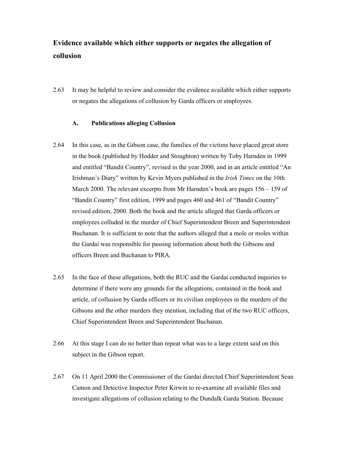# **Evidence available which either supports or negates the allegation of collusion**

2.63 It may be helpful to review and consider the evidence available which either supports or negates the allegations of collusion by Garda officers or employees.

#### **A. Publications alleging Collusion**

- 2.64 In this case, as in the Gibson case, the families of the victims have placed great store in the book (published by Hodder and Stoughton) written by Toby Harnden in 1999 and entitled "Bandit Country", revised in the year 2000, and in an article entitled "An Irishman's Diary" written by Kevin Myers published in the *Irish Times* on the 10th March 2000. The relevant excerpts from Mr Harnden's book are pages 156 – 159 of "Bandit Country" first edition, 1999 and pages 460 and 461 of "Bandit Country" revised edition, 2000. Both the book and the article alleged that Garda officers or employees colluded in the murder of Chief Superintendent Breen and Superintendent Buchanan. It is sufficient to note that the authors alleged that a mole or moles within the Gardaí was responsible for passing information about both the Gibsons and officers Breen and Buchanan to PIRA.
- 2.65 In the face of these allegations, both the RUC and the Gardaí conducted inquiries to determine if there were any grounds for the allegations, contained in the book and article, of collusion by Garda officers or its civilian employees in the murders of the Gibsons and the other murders they mention, including that of the two RUC officers, Chief Superintendent Breen and Superintendent Buchanan.
- 2.66 At this stage I can do no better than repeat what was to a large extent said on this subject in the Gibson report.
- 2.67 On 11 April 2000 the Commissioner of the Gardaí directed Chief Superintendent Sean Camon and Detective Inspector Peter Kirwin to re-examine all available files and investigate allegations of collusion relating to the Dundalk Garda Station. Because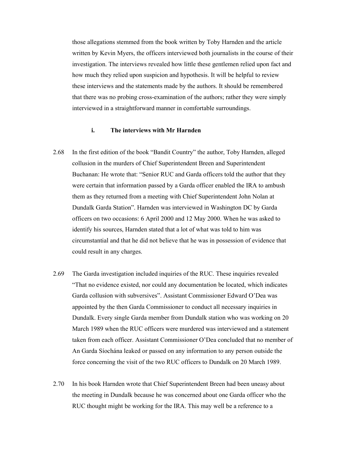those allegations stemmed from the book written by Toby Harnden and the article written by Kevin Myers, the officers interviewed both journalists in the course of their investigation. The interviews revealed how little these gentlemen relied upon fact and how much they relied upon suspicion and hypothesis. It will be helpful to review these interviews and the statements made by the authors. It should be remembered that there was no probing cross-examination of the authors; rather they were simply interviewed in a straightforward manner in comfortable surroundings.

#### **i. The interviews with Mr Harnden**

- 2.68 In the first edition of the book "Bandit Country" the author, Toby Harnden, alleged collusion in the murders of Chief Superintendent Breen and Superintendent Buchanan: He wrote that: "Senior RUC and Garda officers told the author that they were certain that information passed by a Garda officer enabled the IRA to ambush them as they returned from a meeting with Chief Superintendent John Nolan at Dundalk Garda Station". Harnden was interviewed in Washington DC by Garda officers on two occasions: 6 April 2000 and 12 May 2000. When he was asked to identify his sources, Harnden stated that a lot of what was told to him was circumstantial and that he did not believe that he was in possession of evidence that could result in any charges.
- 2.69 The Garda investigation included inquiries of the RUC. These inquiries revealed "That no evidence existed, nor could any documentation be located, which indicates Garda collusion with subversives". Assistant Commissioner Edward O'Dea was appointed by the then Garda Commissioner to conduct all necessary inquiries in Dundalk. Every single Garda member from Dundalk station who was working on 20 March 1989 when the RUC officers were murdered was interviewed and a statement taken from each officer. Assistant Commissioner O'Dea concluded that no member of An Garda Síochána leaked or passed on any information to any person outside the force concerning the visit of the two RUC officers to Dundalk on 20 March 1989.
- 2.70 In his book Harnden wrote that Chief Superintendent Breen had been uneasy about the meeting in Dundalk because he was concerned about one Garda officer who the RUC thought might be working for the IRA. This may well be a reference to a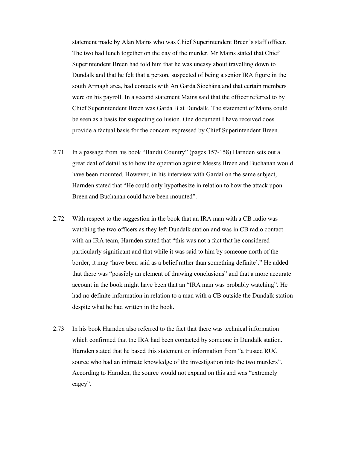statement made by Alan Mains who was Chief Superintendent Breen's staff officer. The two had lunch together on the day of the murder. Mr Mains stated that Chief Superintendent Breen had told him that he was uneasy about travelling down to Dundalk and that he felt that a person, suspected of being a senior IRA figure in the south Armagh area, had contacts with An Garda Síochána and that certain members were on his payroll. In a second statement Mains said that the officer referred to by Chief Superintendent Breen was Garda B at Dundalk. The statement of Mains could be seen as a basis for suspecting collusion. One document I have received does provide a factual basis for the concern expressed by Chief Superintendent Breen.

- 2.71 In a passage from his book "Bandit Country" (pages 157-158) Harnden sets out a great deal of detail as to how the operation against Messrs Breen and Buchanan would have been mounted. However, in his interview with Gardaí on the same subject, Harnden stated that "He could only hypothesize in relation to how the attack upon Breen and Buchanan could have been mounted".
- 2.72 With respect to the suggestion in the book that an IRA man with a CB radio was watching the two officers as they left Dundalk station and was in CB radio contact with an IRA team, Harnden stated that "this was not a fact that he considered particularly significant and that while it was said to him by someone north of the border, it may 'have been said as a belief rather than something definite'." He added that there was "possibly an element of drawing conclusions" and that a more accurate account in the book might have been that an "IRA man was probably watching". He had no definite information in relation to a man with a CB outside the Dundalk station despite what he had written in the book.
- 2.73 In his book Harnden also referred to the fact that there was technical information which confirmed that the IRA had been contacted by someone in Dundalk station. Harnden stated that he based this statement on information from "a trusted RUC source who had an intimate knowledge of the investigation into the two murders". According to Harnden, the source would not expand on this and was "extremely cagey".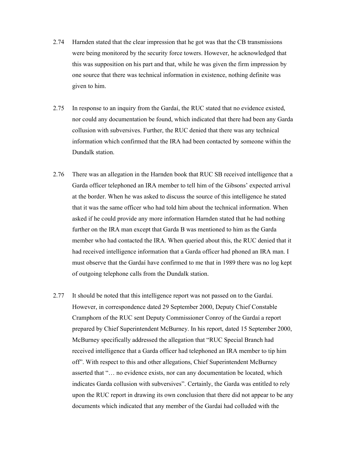- 2.74 Harnden stated that the clear impression that he got was that the CB transmissions were being monitored by the security force towers. However, he acknowledged that this was supposition on his part and that, while he was given the firm impression by one source that there was technical information in existence, nothing definite was given to him.
- 2.75 In response to an inquiry from the Gardaí, the RUC stated that no evidence existed, nor could any documentation be found, which indicated that there had been any Garda collusion with subversives. Further, the RUC denied that there was any technical information which confirmed that the IRA had been contacted by someone within the Dundalk station.
- 2.76 There was an allegation in the Harnden book that RUC SB received intelligence that a Garda officer telephoned an IRA member to tell him of the Gibsons' expected arrival at the border. When he was asked to discuss the source of this intelligence he stated that it was the same officer who had told him about the technical information. When asked if he could provide any more information Harnden stated that he had nothing further on the IRA man except that Garda B was mentioned to him as the Garda member who had contacted the IRA. When queried about this, the RUC denied that it had received intelligence information that a Garda officer had phoned an IRA man. I must observe that the Gardaí have confirmed to me that in 1989 there was no log kept of outgoing telephone calls from the Dundalk station.
- 2.77 It should be noted that this intelligence report was not passed on to the Gardaí. However, in correspondence dated 29 September 2000, Deputy Chief Constable Cramphorn of the RUC sent Deputy Commissioner Conroy of the Gardaí a report prepared by Chief Superintendent McBurney. In his report, dated 15 September 2000, McBurney specifically addressed the allegation that "RUC Special Branch had received intelligence that a Garda officer had telephoned an IRA member to tip him off". With respect to this and other allegations, Chief Superintendent McBurney asserted that "… no evidence exists, nor can any documentation be located, which indicates Garda collusion with subversives". Certainly, the Garda was entitled to rely upon the RUC report in drawing its own conclusion that there did not appear to be any documents which indicated that any member of the Gardaí had colluded with the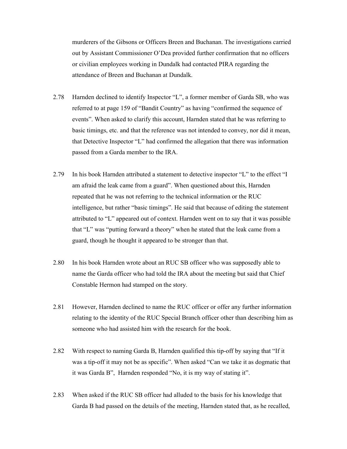murderers of the Gibsons or Officers Breen and Buchanan. The investigations carried out by Assistant Commissioner O'Dea provided further confirmation that no officers or civilian employees working in Dundalk had contacted PIRA regarding the attendance of Breen and Buchanan at Dundalk.

- 2.78 Harnden declined to identify Inspector "L", a former member of Garda SB, who was referred to at page 159 of "Bandit Country" as having "confirmed the sequence of events". When asked to clarify this account, Harnden stated that he was referring to basic timings, etc. and that the reference was not intended to convey, nor did it mean, that Detective Inspector "L" had confirmed the allegation that there was information passed from a Garda member to the IRA.
- 2.79 In his book Harnden attributed a statement to detective inspector "L" to the effect "I am afraid the leak came from a guard". When questioned about this, Harnden repeated that he was not referring to the technical information or the RUC intelligence, but rather "basic timings". He said that because of editing the statement attributed to "L" appeared out of context. Harnden went on to say that it was possible that "L" was "putting forward a theory" when he stated that the leak came from a guard, though he thought it appeared to be stronger than that.
- 2.80 In his book Harnden wrote about an RUC SB officer who was supposedly able to name the Garda officer who had told the IRA about the meeting but said that Chief Constable Hermon had stamped on the story.
- 2.81 However, Harnden declined to name the RUC officer or offer any further information relating to the identity of the RUC Special Branch officer other than describing him as someone who had assisted him with the research for the book.
- 2.82 With respect to naming Garda B, Harnden qualified this tip-off by saying that "If it was a tip-off it may not be as specific". When asked "Can we take it as dogmatic that it was Garda B", Harnden responded "No, it is my way of stating it".
- 2.83 When asked if the RUC SB officer had alluded to the basis for his knowledge that Garda B had passed on the details of the meeting, Harnden stated that, as he recalled,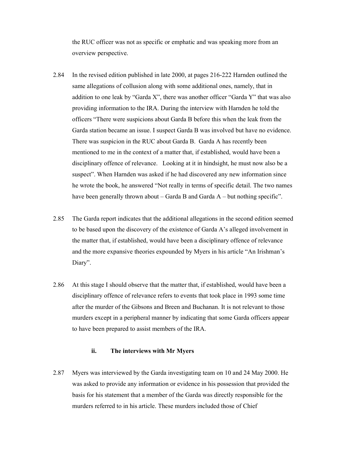the RUC officer was not as specific or emphatic and was speaking more from an overview perspective.

- 2.84 In the revised edition published in late 2000, at pages 216-222 Harnden outlined the same allegations of collusion along with some additional ones, namely, that in addition to one leak by "Garda X", there was another officer "Garda Y" that was also providing information to the IRA. During the interview with Harnden he told the officers "There were suspicions about Garda B before this when the leak from the Garda station became an issue. I suspect Garda B was involved but have no evidence. There was suspicion in the RUC about Garda B. Garda A has recently been mentioned to me in the context of a matter that, if established, would have been a disciplinary offence of relevance. Looking at it in hindsight, he must now also be a suspect". When Harnden was asked if he had discovered any new information since he wrote the book, he answered "Not really in terms of specific detail. The two names have been generally thrown about – Garda B and Garda A – but nothing specific".
- 2.85 The Garda report indicates that the additional allegations in the second edition seemed to be based upon the discovery of the existence of Garda A's alleged involvement in the matter that, if established, would have been a disciplinary offence of relevance and the more expansive theories expounded by Myers in his article "An Irishman's Diary".
- 2.86 At this stage I should observe that the matter that, if established, would have been a disciplinary offence of relevance refers to events that took place in 1993 some time after the murder of the Gibsons and Breen and Buchanan. It is not relevant to those murders except in a peripheral manner by indicating that some Garda officers appear to have been prepared to assist members of the IRA.

#### **ii. The interviews with Mr Myers**

2.87 Myers was interviewed by the Garda investigating team on 10 and 24 May 2000. He was asked to provide any information or evidence in his possession that provided the basis for his statement that a member of the Garda was directly responsible for the murders referred to in his article. These murders included those of Chief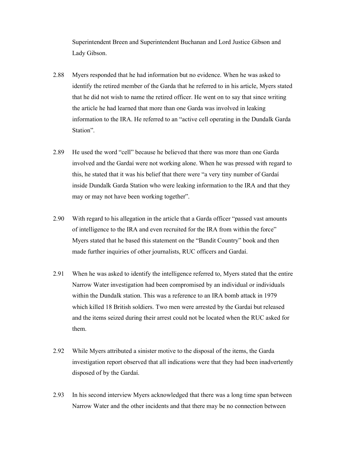Superintendent Breen and Superintendent Buchanan and Lord Justice Gibson and Lady Gibson.

- 2.88 Myers responded that he had information but no evidence. When he was asked to identify the retired member of the Garda that he referred to in his article, Myers stated that he did not wish to name the retired officer. He went on to say that since writing the article he had learned that more than one Garda was involved in leaking information to the IRA. He referred to an "active cell operating in the Dundalk Garda Station".
- 2.89 He used the word "cell" because he believed that there was more than one Garda involved and the Gardaí were not working alone. When he was pressed with regard to this, he stated that it was his belief that there were "a very tiny number of Gardaí inside Dundalk Garda Station who were leaking information to the IRA and that they may or may not have been working together".
- 2.90 With regard to his allegation in the article that a Garda officer "passed vast amounts of intelligence to the IRA and even recruited for the IRA from within the force" Myers stated that he based this statement on the "Bandit Country" book and then made further inquiries of other journalists, RUC officers and Gardaí.
- 2.91 When he was asked to identify the intelligence referred to, Myers stated that the entire Narrow Water investigation had been compromised by an individual or individuals within the Dundalk station. This was a reference to an IRA bomb attack in 1979 which killed 18 British soldiers. Two men were arrested by the Gardaí but released and the items seized during their arrest could not be located when the RUC asked for them.
- 2.92 While Myers attributed a sinister motive to the disposal of the items, the Garda investigation report observed that all indications were that they had been inadvertently disposed of by the Gardaí.
- 2.93 In his second interview Myers acknowledged that there was a long time span between Narrow Water and the other incidents and that there may be no connection between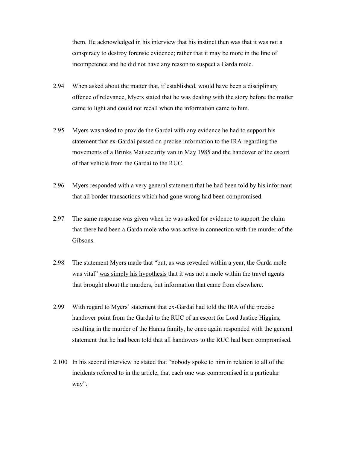them. He acknowledged in his interview that his instinct then was that it was not a conspiracy to destroy forensic evidence; rather that it may be more in the line of incompetence and he did not have any reason to suspect a Garda mole.

- 2.94 When asked about the matter that, if established, would have been a disciplinary offence of relevance, Myers stated that he was dealing with the story before the matter came to light and could not recall when the information came to him.
- 2.95 Myers was asked to provide the Gardaí with any evidence he had to support his statement that ex-Gardaí passed on precise information to the IRA regarding the movements of a Brinks Mat security van in May 1985 and the handover of the escort of that vehicle from the Gardaí to the RUC.
- 2.96 Myers responded with a very general statement that he had been told by his informant that all border transactions which had gone wrong had been compromised.
- 2.97 The same response was given when he was asked for evidence to support the claim that there had been a Garda mole who was active in connection with the murder of the Gibsons.
- 2.98 The statement Myers made that "but, as was revealed within a year, the Garda mole was vital" was simply his hypothesis that it was not a mole within the travel agents that brought about the murders, but information that came from elsewhere.
- 2.99 With regard to Myers' statement that ex-Gardaí had told the IRA of the precise handover point from the Gardaí to the RUC of an escort for Lord Justice Higgins, resulting in the murder of the Hanna family, he once again responded with the general statement that he had been told that all handovers to the RUC had been compromised.
- 2.100 In his second interview he stated that "nobody spoke to him in relation to all of the incidents referred to in the article, that each one was compromised in a particular way".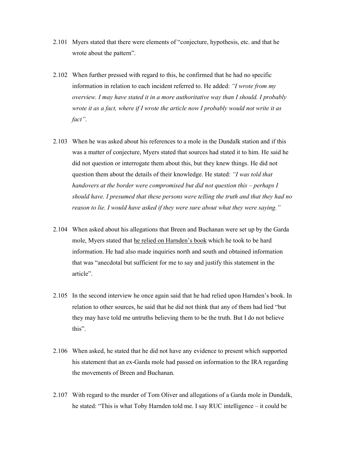- 2.101 Myers stated that there were elements of "conjecture, hypothesis, etc. and that he wrote about the pattern".
- 2.102 When further pressed with regard to this, he confirmed that he had no specific information in relation to each incident referred to. He added: *"I wrote from my overview. I may have stated it in a more authoritative way than I should. I probably wrote it as a fact, where if I wrote the article now I probably would not write it as fact".*
- 2.103 When he was asked about his references to a mole in the Dundalk station and if this was a matter of conjecture, Myers stated that sources had stated it to him. He said he did not question or interrogate them about this, but they knew things. He did not question them about the details of their knowledge. He stated: *"I was told that handovers at the border were compromised but did not question this – perhaps I should have. I presumed that these persons were telling the truth and that they had no reason to lie. I would have asked if they were sure about what they were saying."*
- 2.104 When asked about his allegations that Breen and Buchanan were set up by the Garda mole, Myers stated that he relied on Harnden's book which he took to be hard information. He had also made inquiries north and south and obtained information that was "anecdotal but sufficient for me to say and justify this statement in the article".
- 2.105 In the second interview he once again said that he had relied upon Harnden's book. In relation to other sources, he said that he did not think that any of them had lied "but they may have told me untruths believing them to be the truth. But I do not believe this".
- 2.106 When asked, he stated that he did not have any evidence to present which supported his statement that an ex-Garda mole had passed on information to the IRA regarding the movements of Breen and Buchanan.
- 2.107 With regard to the murder of Tom Oliver and allegations of a Garda mole in Dundalk, he stated: "This is what Toby Harnden told me. I say RUC intelligence – it could be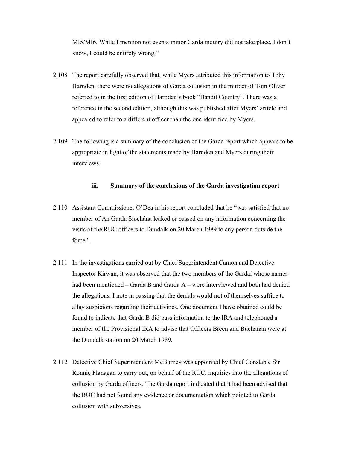MI5/MI6. While I mention not even a minor Garda inquiry did not take place, I don't know, I could be entirely wrong."

- 2.108 The report carefully observed that, while Myers attributed this information to Toby Harnden, there were no allegations of Garda collusion in the murder of Tom Oliver referred to in the first edition of Harnden's book "Bandit Country". There was a reference in the second edition, although this was published after Myers' article and appeared to refer to a different officer than the one identified by Myers.
- 2.109 The following is a summary of the conclusion of the Garda report which appears to be appropriate in light of the statements made by Harnden and Myers during their interviews.

#### **iii. Summary of the conclusions of the Garda investigation report**

- 2.110 Assistant Commissioner O'Dea in his report concluded that he "was satisfied that no member of An Garda Síochána leaked or passed on any information concerning the visits of the RUC officers to Dundalk on 20 March 1989 to any person outside the force".
- 2.111 In the investigations carried out by Chief Superintendent Camon and Detective Inspector Kirwan, it was observed that the two members of the Gardaí whose names had been mentioned – Garda B and Garda A – were interviewed and both had denied the allegations. I note in passing that the denials would not of themselves suffice to allay suspicions regarding their activities. One document I have obtained could be found to indicate that Garda B did pass information to the IRA and telephoned a member of the Provisional IRA to advise that Officers Breen and Buchanan were at the Dundalk station on 20 March 1989.
- 2.112 Detective Chief Superintendent McBurney was appointed by Chief Constable Sir Ronnie Flanagan to carry out, on behalf of the RUC, inquiries into the allegations of collusion by Garda officers. The Garda report indicated that it had been advised that the RUC had not found any evidence or documentation which pointed to Garda collusion with subversives.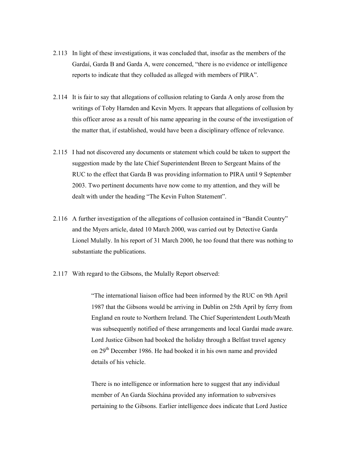- 2.113 In light of these investigations, it was concluded that, insofar as the members of the Gardaí, Garda B and Garda A, were concerned, "there is no evidence or intelligence reports to indicate that they colluded as alleged with members of PIRA".
- 2.114 It is fair to say that allegations of collusion relating to Garda A only arose from the writings of Toby Harnden and Kevin Myers. It appears that allegations of collusion by this officer arose as a result of his name appearing in the course of the investigation of the matter that, if established, would have been a disciplinary offence of relevance.
- 2.115 I had not discovered any documents or statement which could be taken to support the suggestion made by the late Chief Superintendent Breen to Sergeant Mains of the RUC to the effect that Garda B was providing information to PIRA until 9 September 2003. Two pertinent documents have now come to my attention, and they will be dealt with under the heading "The Kevin Fulton Statement".
- 2.116 A further investigation of the allegations of collusion contained in "Bandit Country" and the Myers article, dated 10 March 2000, was carried out by Detective Garda Lionel Mulally. In his report of 31 March 2000, he too found that there was nothing to substantiate the publications.
- 2.117 With regard to the Gibsons, the Mulally Report observed:

 "The international liaison office had been informed by the RUC on 9th April 1987 that the Gibsons would be arriving in Dublin on 25th April by ferry from England en route to Northern Ireland. The Chief Superintendent Louth/Meath was subsequently notified of these arrangements and local Gardaí made aware. Lord Justice Gibson had booked the holiday through a Belfast travel agency on 29<sup>th</sup> December 1986. He had booked it in his own name and provided details of his vehicle.

 There is no intelligence or information here to suggest that any individual member of An Garda Síochána provided any information to subversives pertaining to the Gibsons. Earlier intelligence does indicate that Lord Justice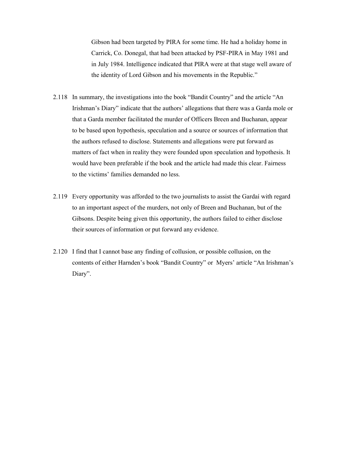Gibson had been targeted by PIRA for some time. He had a holiday home in Carrick, Co. Donegal, that had been attacked by PSF-PIRA in May 1981 and in July 1984. Intelligence indicated that PIRA were at that stage well aware of the identity of Lord Gibson and his movements in the Republic."

- 2.118 In summary, the investigations into the book "Bandit Country" and the article "An Irishman's Diary" indicate that the authors' allegations that there was a Garda mole or that a Garda member facilitated the murder of Officers Breen and Buchanan, appear to be based upon hypothesis, speculation and a source or sources of information that the authors refused to disclose. Statements and allegations were put forward as matters of fact when in reality they were founded upon speculation and hypothesis. It would have been preferable if the book and the article had made this clear. Fairness to the victims' families demanded no less.
- 2.119 Every opportunity was afforded to the two journalists to assist the Gardaí with regard to an important aspect of the murders, not only of Breen and Buchanan, but of the Gibsons. Despite being given this opportunity, the authors failed to either disclose their sources of information or put forward any evidence.
- 2.120 I find that I cannot base any finding of collusion, or possible collusion, on the contents of either Harnden's book "Bandit Country" or Myers' article "An Irishman's Diary".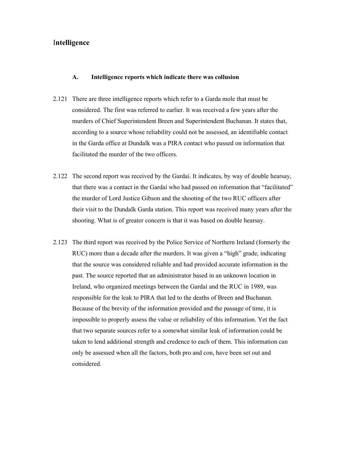### I**ntelligence**

#### **A. Intelligence reports which indicate there was collusion**

- 2.121 There are three intelligence reports which refer to a Garda mole that must be considered. The first was referred to earlier. It was received a few years after the murders of Chief Superintendent Breen and Superintendent Buchanan. It states that, according to a source whose reliability could not be assessed, an identifiable contact in the Garda office at Dundalk was a PIRA contact who passed on information that facilitated the murder of the two officers.
- 2.122 The second report was received by the Gardaí. It indicates, by way of double hearsay, that there was a contact in the Gardaí who had passed on information that "facilitated" the murder of Lord Justice Gibson and the shooting of the two RUC officers after their visit to the Dundalk Garda station. This report was received many years after the shooting. What is of greater concern is that it was based on double hearsay.
- 2.123 The third report was received by the Police Service of Northern Ireland (formerly the RUC) more than a decade after the murders. It was given a "high" grade, indicating that the source was considered reliable and had provided accurate information in the past. The source reported that an administrator based in an unknown location in Ireland, who organized meetings between the Gardaí and the RUC in 1989, was responsible for the leak to PIRA that led to the deaths of Breen and Buchanan. Because of the brevity of the information provided and the passage of time, it is impossible to properly assess the value or reliability of this information. Yet the fact that two separate sources refer to a somewhat similar leak of information could be taken to lend additional strength and credence to each of them. This information can only be assessed when all the factors, both pro and con, have been set out and considered.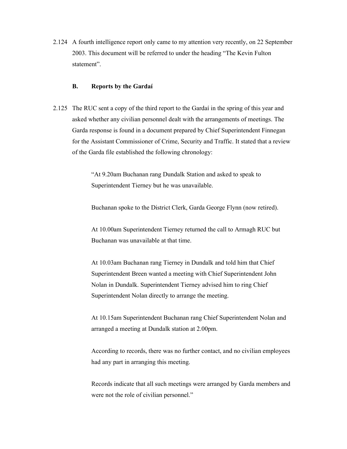2.124 A fourth intelligence report only came to my attention very recently, on 22 September 2003. This document will be referred to under the heading "The Kevin Fulton statement".

#### **B. Reports by the Gardaí**

2.125 The RUC sent a copy of the third report to the Gardaí in the spring of this year and asked whether any civilian personnel dealt with the arrangements of meetings. The Garda response is found in a document prepared by Chief Superintendent Finnegan for the Assistant Commissioner of Crime, Security and Traffic. It stated that a review of the Garda file established the following chronology:

> "At 9.20am Buchanan rang Dundalk Station and asked to speak to Superintendent Tierney but he was unavailable.

Buchanan spoke to the District Clerk, Garda George Flynn (now retired).

 At 10.00am Superintendent Tierney returned the call to Armagh RUC but Buchanan was unavailable at that time.

 At 10.03am Buchanan rang Tierney in Dundalk and told him that Chief Superintendent Breen wanted a meeting with Chief Superintendent John Nolan in Dundalk. Superintendent Tierney advised him to ring Chief Superintendent Nolan directly to arrange the meeting.

 At 10.15am Superintendent Buchanan rang Chief Superintendent Nolan and arranged a meeting at Dundalk station at 2.00pm.

 According to records, there was no further contact, and no civilian employees had any part in arranging this meeting.

 Records indicate that all such meetings were arranged by Garda members and were not the role of civilian personnel."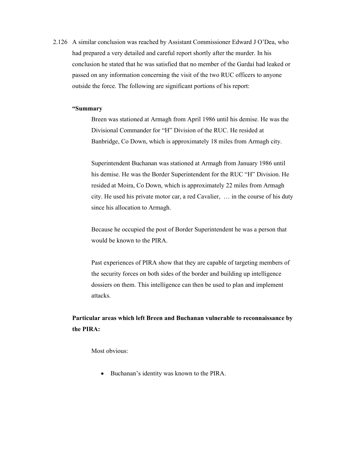2.126 A similar conclusion was reached by Assistant Commissioner Edward J O'Dea, who had prepared a very detailed and careful report shortly after the murder. In his conclusion he stated that he was satisfied that no member of the Gardaí had leaked or passed on any information concerning the visit of the two RUC officers to anyone outside the force. The following are significant portions of his report:

#### **"Summary**

 Breen was stationed at Armagh from April 1986 until his demise. He was the Divisional Commander for "H" Division of the RUC. He resided at Banbridge, Co Down, which is approximately 18 miles from Armagh city.

 Superintendent Buchanan was stationed at Armagh from January 1986 until his demise. He was the Border Superintendent for the RUC "H" Division. He resided at Moira, Co Down, which is approximately 22 miles from Armagh city. He used his private motor car, a red Cavalier, … in the course of his duty since his allocation to Armagh.

 Because he occupied the post of Border Superintendent he was a person that would be known to the PIRA.

 Past experiences of PIRA show that they are capable of targeting members of the security forces on both sides of the border and building up intelligence dossiers on them. This intelligence can then be used to plan and implement attacks.

# **Particular areas which left Breen and Buchanan vulnerable to reconnaissance by the PIRA:**

Most obvious<sup>-</sup>

- Buchanan's identity was known to the PIRA.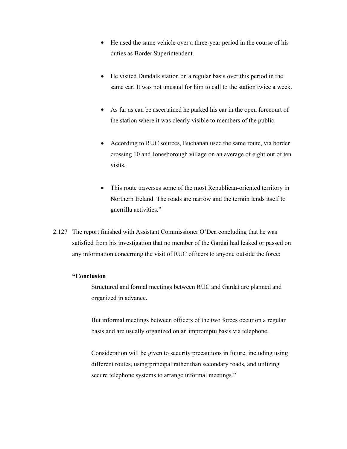- He used the same vehicle over a three-year period in the course of his duties as Border Superintendent.
- He visited Dundalk station on a regular basis over this period in the same car. It was not unusual for him to call to the station twice a week.
- As far as can be ascertained he parked his car in the open forecourt of the station where it was clearly visible to members of the public.
- According to RUC sources, Buchanan used the same route, via border crossing 10 and Jonesborough village on an average of eight out of ten visits.
- $\bullet$  This route traverses some of the most Republican-oriented territory in Northern Ireland. The roads are narrow and the terrain lends itself to guerrilla activities."
- 2.127 The report finished with Assistant Commissioner O'Dea concluding that he was satisfied from his investigation that no member of the Gardaí had leaked or passed on any information concerning the visit of RUC officers to anyone outside the force:

#### **"Conclusion**

 Structured and formal meetings between RUC and Gardaí are planned and organized in advance.

 But informal meetings between officers of the two forces occur on a regular basis and are usually organized on an impromptu basis via telephone.

 Consideration will be given to security precautions in future, including using different routes, using principal rather than secondary roads, and utilizing secure telephone systems to arrange informal meetings."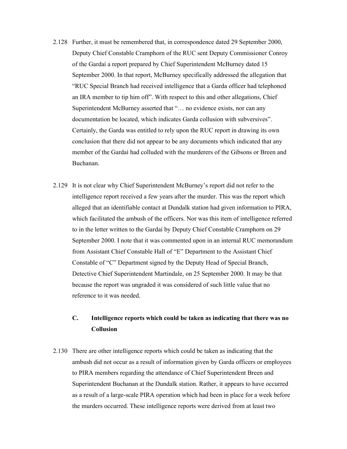- 2.128 Further, it must be remembered that, in correspondence dated 29 September 2000, Deputy Chief Constable Cramphorn of the RUC sent Deputy Commissioner Conroy of the Gardaí a report prepared by Chief Superintendent McBurney dated 15 September 2000. In that report, McBurney specifically addressed the allegation that "RUC Special Branch had received intelligence that a Garda officer had telephoned an IRA member to tip him off". With respect to this and other allegations, Chief Superintendent McBurney asserted that "… no evidence exists, nor can any documentation be located, which indicates Garda collusion with subversives". Certainly, the Garda was entitled to rely upon the RUC report in drawing its own conclusion that there did not appear to be any documents which indicated that any member of the Gardaí had colluded with the murderers of the Gibsons or Breen and Buchanan.
- 2.129 It is not clear why Chief Superintendent McBurney's report did not refer to the intelligence report received a few years after the murder. This was the report which alleged that an identifiable contact at Dundalk station had given information to PIRA, which facilitated the ambush of the officers. Nor was this item of intelligence referred to in the letter written to the Gardaí by Deputy Chief Constable Cramphorn on 29 September 2000. I note that it was commented upon in an internal RUC memorandum from Assistant Chief Constable Hall of "E" Department to the Assistant Chief Constable of "C" Department signed by the Deputy Head of Special Branch, Detective Chief Superintendent Martindale, on 25 September 2000. It may be that because the report was ungraded it was considered of such little value that no reference to it was needed.

# **C. Intelligence reports which could be taken as indicating that there was no Collusion**

2.130 There are other intelligence reports which could be taken as indicating that the ambush did not occur as a result of information given by Garda officers or employees to PIRA members regarding the attendance of Chief Superintendent Breen and Superintendent Buchanan at the Dundalk station. Rather, it appears to have occurred as a result of a large-scale PIRA operation which had been in place for a week before the murders occurred. These intelligence reports were derived from at least two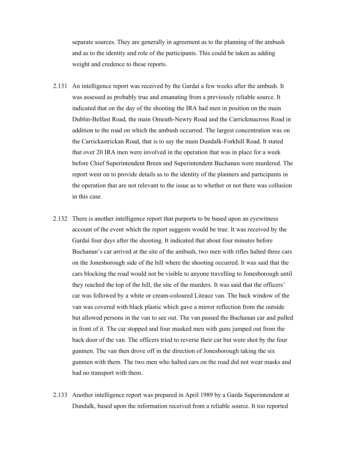separate sources. They are generally in agreement as to the planning of the ambush and as to the identity and role of the participants. This could be taken as adding weight and credence to these reports.

- 2.131 An intelligence report was received by the Gardaí a few weeks after the ambush. It was assessed as probably true and emanating from a previously reliable source. It indicated that on the day of the shooting the IRA had men in position on the main Dublin-Belfast Road, the main Omeath-Newry Road and the Carrickmacross Road in addition to the road on which the ambush occurred. The largest concentration was on the Carrickastrickan Road, that is to say the main Dundalk-Forkhill Road. It stated that over 20 IRA men were involved in the operation that was in place for a week before Chief Superintendent Breen and Superintendent Buchanan were murdered. The report went on to provide details as to the identity of the planners and participants in the operation that are not relevant to the issue as to whether or not there was collusion in this case.
- 2.132 There is another intelligence report that purports to be based upon an eyewitness account of the event which the report suggests would be true. It was received by the Gardaí four days after the shooting. It indicated that about four minutes before Buchanan's car arrived at the site of the ambush, two men with rifles halted three cars on the Jonesborough side of the hill where the shooting occurred. It was said that the cars blocking the road would not be visible to anyone travelling to Jonesborough until they reached the top of the hill, the site of the murders. It was said that the officers' car was followed by a white or cream-coloured Liteace van. The back window of the van was covered with black plastic which gave a mirror reflection from the outside but allowed persons in the van to see out. The van passed the Buchanan car and pulled in front of it. The car stopped and four masked men with guns jumped out from the back door of the van. The officers tried to reverse their car but were shot by the four gunmen. The van then drove off in the direction of Jonesborough taking the six gunmen with them. The two men who halted cars on the road did not wear masks and had no transport with them.
- 2.133 Another intelligence report was prepared in April 1989 by a Garda Superintendent at Dundalk, based upon the information received from a reliable source. It too reported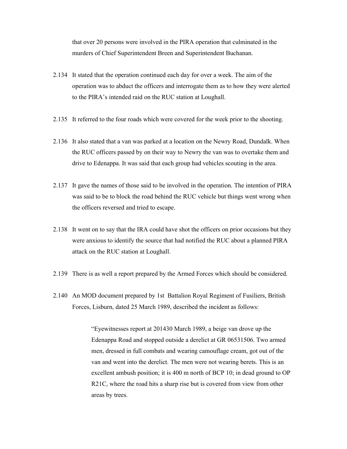that over 20 persons were involved in the PIRA operation that culminated in the murders of Chief Superintendent Breen and Superintendent Buchanan.

- 2.134 It stated that the operation continued each day for over a week. The aim of the operation was to abduct the officers and interrogate them as to how they were alerted to the PIRA's intended raid on the RUC station at Loughall.
- 2.135 It referred to the four roads which were covered for the week prior to the shooting.
- 2.136 It also stated that a van was parked at a location on the Newry Road, Dundalk. When the RUC officers passed by on their way to Newry the van was to overtake them and drive to Edenappa. It was said that each group had vehicles scouting in the area.
- 2.137 It gave the names of those said to be involved in the operation. The intention of PIRA was said to be to block the road behind the RUC vehicle but things went wrong when the officers reversed and tried to escape.
- 2.138 It went on to say that the IRA could have shot the officers on prior occasions but they were anxious to identify the source that had notified the RUC about a planned PIRA attack on the RUC station at Loughall.
- 2.139 There is as well a report prepared by the Armed Forces which should be considered.
- 2.140 An MOD document prepared by 1st Battalion Royal Regiment of Fusiliers, British Forces, Lisburn, dated 25 March 1989, described the incident as follows:

 "Eyewitnesses report at 201430 March 1989, a beige van drove up the Edenappa Road and stopped outside a derelict at GR 06531506. Two armed men, dressed in full combats and wearing camouflage cream, got out of the van and went into the derelict. The men were not wearing berets. This is an excellent ambush position; it is 400 m north of BCP 10; in dead ground to OP R21C, where the road hits a sharp rise but is covered from view from other areas by trees.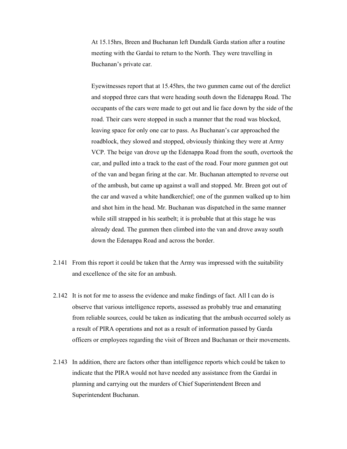At 15.15hrs, Breen and Buchanan left Dundalk Garda station after a routine meeting with the Gardaí to return to the North. They were travelling in Buchanan's private car.

 Eyewitnesses report that at 15.45hrs, the two gunmen came out of the derelict and stopped three cars that were heading south down the Edenappa Road. The occupants of the cars were made to get out and lie face down by the side of the road. Their cars were stopped in such a manner that the road was blocked, leaving space for only one car to pass. As Buchanan's car approached the roadblock, they slowed and stopped, obviously thinking they were at Army VCP. The beige van drove up the Edenappa Road from the south, overtook the car, and pulled into a track to the east of the road. Four more gunmen got out of the van and began firing at the car. Mr. Buchanan attempted to reverse out of the ambush, but came up against a wall and stopped. Mr. Breen got out of the car and waved a white handkerchief; one of the gunmen walked up to him and shot him in the head. Mr. Buchanan was dispatched in the same manner while still strapped in his seatbelt; it is probable that at this stage he was already dead. The gunmen then climbed into the van and drove away south down the Edenappa Road and across the border.

- 2.141 From this report it could be taken that the Army was impressed with the suitability and excellence of the site for an ambush.
- 2.142 It is not for me to assess the evidence and make findings of fact. All I can do is observe that various intelligence reports, assessed as probably true and emanating from reliable sources, could be taken as indicating that the ambush occurred solely as a result of PIRA operations and not as a result of information passed by Garda officers or employees regarding the visit of Breen and Buchanan or their movements.
- 2.143 In addition, there are factors other than intelligence reports which could be taken to indicate that the PIRA would not have needed any assistance from the Gardaí in planning and carrying out the murders of Chief Superintendent Breen and Superintendent Buchanan.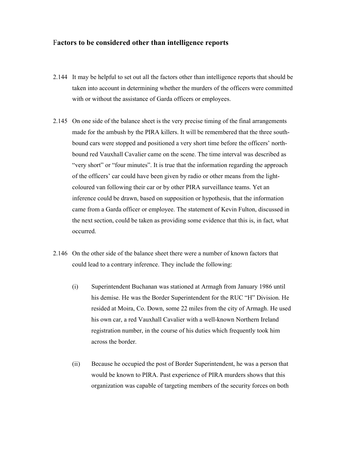#### F**actors to be considered other than intelligence reports**

- 2.144 It may be helpful to set out all the factors other than intelligence reports that should be taken into account in determining whether the murders of the officers were committed with or without the assistance of Garda officers or employees.
- 2.145 On one side of the balance sheet is the very precise timing of the final arrangements made for the ambush by the PIRA killers. It will be remembered that the three southbound cars were stopped and positioned a very short time before the officers' northbound red Vauxhall Cavalier came on the scene. The time interval was described as "very short" or "four minutes". It is true that the information regarding the approach of the officers' car could have been given by radio or other means from the lightcoloured van following their car or by other PIRA surveillance teams. Yet an inference could be drawn, based on supposition or hypothesis, that the information came from a Garda officer or employee. The statement of Kevin Fulton, discussed in the next section, could be taken as providing some evidence that this is, in fact, what occurred.
- 2.146 On the other side of the balance sheet there were a number of known factors that could lead to a contrary inference. They include the following:
	- (i) Superintendent Buchanan was stationed at Armagh from January 1986 until his demise. He was the Border Superintendent for the RUC "H" Division. He resided at Moira, Co. Down, some 22 miles from the city of Armagh. He used his own car, a red Vauxhall Cavalier with a well-known Northern Ireland registration number, in the course of his duties which frequently took him across the border.
	- (ii) Because he occupied the post of Border Superintendent, he was a person that would be known to PIRA. Past experience of PIRA murders shows that this organization was capable of targeting members of the security forces on both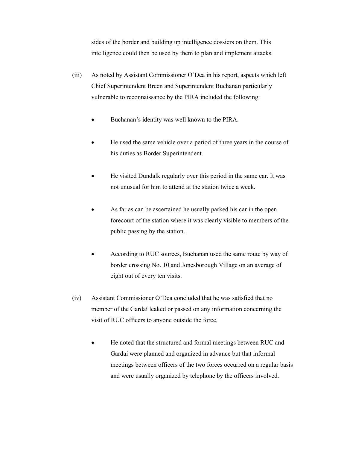sides of the border and building up intelligence dossiers on them. This intelligence could then be used by them to plan and implement attacks.

- (iii) As noted by Assistant Commissioner O'Dea in his report, aspects which left Chief Superintendent Breen and Superintendent Buchanan particularly vulnerable to reconnaissance by the PIRA included the following:
	- $\bullet$ Buchanan's identity was well known to the PIRA.
	- - He used the same vehicle over a period of three years in the course of his duties as Border Superintendent.
	- - He visited Dundalk regularly over this period in the same car. It was not unusual for him to attend at the station twice a week.
	- $\bullet$  As far as can be ascertained he usually parked his car in the open forecourt of the station where it was clearly visible to members of the public passing by the station.
	- - According to RUC sources, Buchanan used the same route by way of border crossing No. 10 and Jonesborough Village on an average of eight out of every ten visits.
- (iv) Assistant Commissioner O'Dea concluded that he was satisfied that no member of the Gardaí leaked or passed on any information concerning the visit of RUC officers to anyone outside the force.
	- - He noted that the structured and formal meetings between RUC and Gardaí were planned and organized in advance but that informal meetings between officers of the two forces occurred on a regular basis and were usually organized by telephone by the officers involved.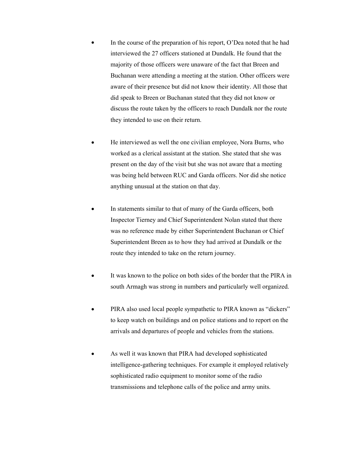- $\bullet$  In the course of the preparation of his report, O'Dea noted that he had interviewed the 27 officers stationed at Dundalk. He found that the majority of those officers were unaware of the fact that Breen and Buchanan were attending a meeting at the station. Other officers were aware of their presence but did not know their identity. All those that did speak to Breen or Buchanan stated that they did not know or discuss the route taken by the officers to reach Dundalk nor the route they intended to use on their return.
- - He interviewed as well the one civilian employee, Nora Burns, who worked as a clerical assistant at the station. She stated that she was present on the day of the visit but she was not aware that a meeting was being held between RUC and Garda officers. Nor did she notice anything unusual at the station on that day.
- - In statements similar to that of many of the Garda officers, both Inspector Tierney and Chief Superintendent Nolan stated that there was no reference made by either Superintendent Buchanan or Chief Superintendent Breen as to how they had arrived at Dundalk or the route they intended to take on the return journey.
- $\bullet$  It was known to the police on both sides of the border that the PIRA in south Armagh was strong in numbers and particularly well organized.
- - PIRA also used local people sympathetic to PIRA known as "dickers" to keep watch on buildings and on police stations and to report on the arrivals and departures of people and vehicles from the stations.
- $\bullet$  As well it was known that PIRA had developed sophisticated intelligence-gathering techniques. For example it employed relatively sophisticated radio equipment to monitor some of the radio transmissions and telephone calls of the police and army units.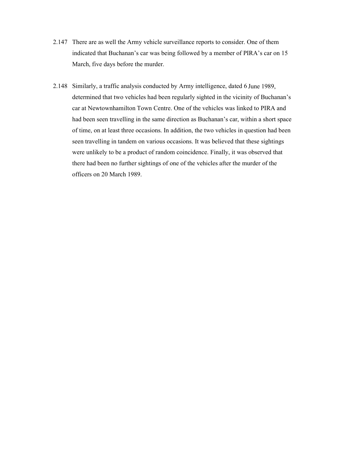- 2.147 There are as well the Army vehicle surveillance reports to consider. One of them indicated that Buchanan's car was being followed by a member of PIRA's car on 15 March, five days before the murder.
- 2.148 Similarly, a traffic analysis conducted by Army intelligence, dated 6 June 1989, determined that two vehicles had been regularly sighted in the vicinity of Buchanan's car at Newtownhamilton Town Centre. One of the vehicles was linked to PIRA and had been seen travelling in the same direction as Buchanan's car, within a short space of time, on at least three occasions. In addition, the two vehicles in question had been seen travelling in tandem on various occasions. It was believed that these sightings were unlikely to be a product of random coincidence. Finally, it was observed that there had been no further sightings of one of the vehicles after the murder of the officers on 20 March 1989.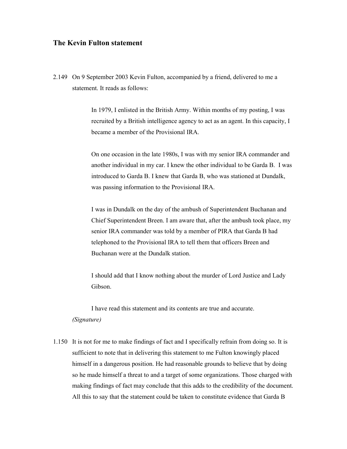## **The Kevin Fulton statement**

2.149 On 9 September 2003 Kevin Fulton, accompanied by a friend, delivered to me a statement. It reads as follows:

> In 1979, I enlisted in the British Army. Within months of my posting, I was recruited by a British intelligence agency to act as an agent. In this capacity, I became a member of the Provisional IRA.

> On one occasion in the late 1980s, I was with my senior IRA commander and another individual in my car. I knew the other individual to be Garda B. I was introduced to Garda B. I knew that Garda B, who was stationed at Dundalk, was passing information to the Provisional IRA.

> I was in Dundalk on the day of the ambush of Superintendent Buchanan and Chief Superintendent Breen. I am aware that, after the ambush took place, my senior IRA commander was told by a member of PIRA that Garda B had telephoned to the Provisional IRA to tell them that officers Breen and Buchanan were at the Dundalk station.

I should add that I know nothing about the murder of Lord Justice and Lady Gibson.

I have read this statement and its contents are true and accurate. *(Signature)* 

1.150 It is not for me to make findings of fact and I specifically refrain from doing so. It is sufficient to note that in delivering this statement to me Fulton knowingly placed himself in a dangerous position. He had reasonable grounds to believe that by doing so he made himself a threat to and a target of some organizations. Those charged with making findings of fact may conclude that this adds to the credibility of the document. All this to say that the statement could be taken to constitute evidence that Garda B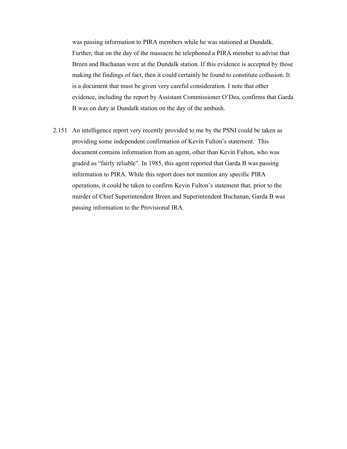was passing information to PIRA members while he was stationed at Dundalk. Further, that on the day of the massacre he telephoned a PIRA member to advise that Breen and Buchanan were at the Dundalk station. If this evidence is accepted by those making the findings of fact, then it could certainly be found to constitute collusion. It is a document that must be given very careful consideration. I note that other evidence, including the report by Assistant Commissioner O'Dea, confirms that Garda B was on duty at Dundalk station on the day of the ambush.

2.151 An intelligence report very recently provided to me by the PSNI could be taken as providing some independent confirmation of Kevin Fulton's statement. This document contains information from an agent, other than Kevin Fulton, who was graded as "fairly reliable". In 1985, this agent reported that Garda B was passing information to PIRA. While this report does not mention any specific PIRA operations, it could be taken to confirm Kevin Fulton's statement that, prior to the murder of Chief Superintendent Breen and Superintendent Buchanan, Garda B was passing information to the Provisional IRA.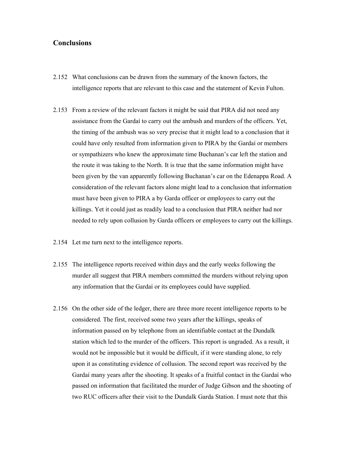## **Conclusions**

- 2.152 What conclusions can be drawn from the summary of the known factors, the intelligence reports that are relevant to this case and the statement of Kevin Fulton.
- 2.153 From a review of the relevant factors it might be said that PIRA did not need any assistance from the Gardaí to carry out the ambush and murders of the officers. Yet, the timing of the ambush was so very precise that it might lead to a conclusion that it could have only resulted from information given to PIRA by the Gardaí or members or sympathizers who knew the approximate time Buchanan's car left the station and the route it was taking to the North. It is true that the same information might have been given by the van apparently following Buchanan's car on the Edenappa Road. A consideration of the relevant factors alone might lead to a conclusion that information must have been given to PIRA a by Garda officer or employees to carry out the killings. Yet it could just as readily lead to a conclusion that PIRA neither had nor needed to rely upon collusion by Garda officers or employees to carry out the killings.
- 2.154 Let me turn next to the intelligence reports.
- 2.155 The intelligence reports received within days and the early weeks following the murder all suggest that PIRA members committed the murders without relying upon any information that the Gardaí or its employees could have supplied.
- 2.156 On the other side of the ledger, there are three more recent intelligence reports to be considered. The first, received some two years after the killings, speaks of information passed on by telephone from an identifiable contact at the Dundalk station which led to the murder of the officers. This report is ungraded. As a result, it would not be impossible but it would be difficult, if it were standing alone, to rely upon it as constituting evidence of collusion. The second report was received by the Gardaí many years after the shooting. It speaks of a fruitful contact in the Gardaí who passed on information that facilitated the murder of Judge Gibson and the shooting of two RUC officers after their visit to the Dundalk Garda Station. I must note that this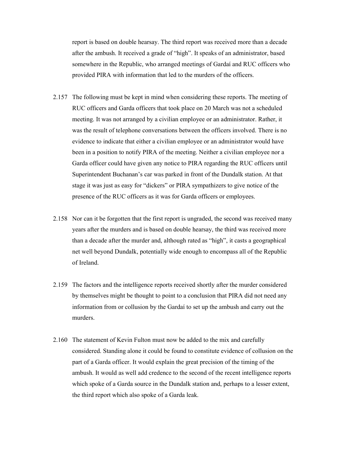report is based on double hearsay. The third report was received more than a decade after the ambush. It received a grade of "high". It speaks of an administrator, based somewhere in the Republic, who arranged meetings of Gardaí and RUC officers who provided PIRA with information that led to the murders of the officers.

- 2.157 The following must be kept in mind when considering these reports. The meeting of RUC officers and Garda officers that took place on 20 March was not a scheduled meeting. It was not arranged by a civilian employee or an administrator. Rather, it was the result of telephone conversations between the officers involved. There is no evidence to indicate that either a civilian employee or an administrator would have been in a position to notify PIRA of the meeting. Neither a civilian employee nor a Garda officer could have given any notice to PIRA regarding the RUC officers until Superintendent Buchanan's car was parked in front of the Dundalk station. At that stage it was just as easy for "dickers" or PIRA sympathizers to give notice of the presence of the RUC officers as it was for Garda officers or employees.
- 2.158 Nor can it be forgotten that the first report is ungraded, the second was received many years after the murders and is based on double hearsay, the third was received more than a decade after the murder and, although rated as "high", it casts a geographical net well beyond Dundalk, potentially wide enough to encompass all of the Republic of Ireland.
- 2.159 The factors and the intelligence reports received shortly after the murder considered by themselves might be thought to point to a conclusion that PIRA did not need any information from or collusion by the Gardaí to set up the ambush and carry out the murders.
- 2.160 The statement of Kevin Fulton must now be added to the mix and carefully considered. Standing alone it could be found to constitute evidence of collusion on the part of a Garda officer. It would explain the great precision of the timing of the ambush. It would as well add credence to the second of the recent intelligence reports which spoke of a Garda source in the Dundalk station and, perhaps to a lesser extent, the third report which also spoke of a Garda leak.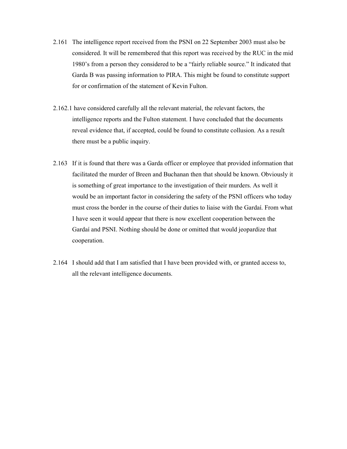- 2.161 The intelligence report received from the PSNI on 22 September 2003 must also be considered. It will be remembered that this report was received by the RUC in the mid 1980's from a person they considered to be a "fairly reliable source." It indicated that Garda B was passing information to PIRA. This might be found to constitute support for or confirmation of the statement of Kevin Fulton.
- 2.162.1 have considered carefully all the relevant material, the relevant factors, the intelligence reports and the Fulton statement. I have concluded that the documents reveal evidence that, if accepted, could be found to constitute collusion. As a result there must be a public inquiry.
- 2.163 If it is found that there was a Garda officer or employee that provided information that facilitated the murder of Breen and Buchanan then that should be known. Obviously it is something of great importance to the investigation of their murders. As well it would be an important factor in considering the safety of the PSNI officers who today must cross the border in the course of their duties to liaise with the Gardaí. From what I have seen it would appear that there is now excellent cooperation between the Gardaí and PSNI. Nothing should be done or omitted that would jeopardize that cooperation.
- 2.164 I should add that I am satisfied that I have been provided with, or granted access to, all the relevant intelligence documents.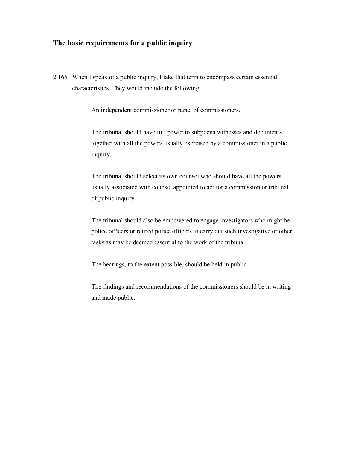## **The basic requirements for a public inquiry**

2.165 When I speak of a public inquiry, I take that term to encompass certain essential characteristics. They would include the following:

An independent commissioner or panel of commissioners.

The tribunal should have full power to subpoena witnesses and documents together with all the powers usually exercised by a commissioner in a public inquiry.

The tribunal should select its own counsel who should have all the powers usually associated with counsel appointed to act for a commission or tribunal of public inquiry.

The tribunal should also be empowered to engage investigators who might be police officers or retired police officers to carry out such investigative or other tasks as may be deemed essential to the work of the tribunal.

The hearings, to the extent possible, should be held in public.

The findings and recommendations of the commissioners should be in writing and made public.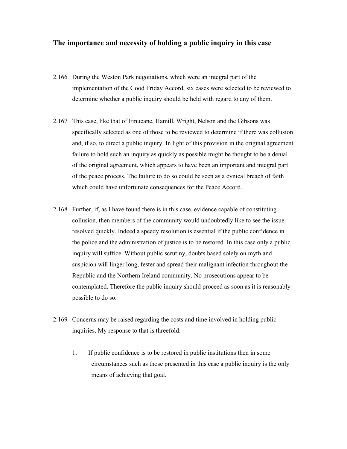## **The importance and necessity of holding a public inquiry in this case**

- 2.166 During the Weston Park negotiations, which were an integral part of the implementation of the Good Friday Accord, six cases were selected to be reviewed to determine whether a public inquiry should be held with regard to any of them.
- 2.167 This case, like that of Finucane, Hamill, Wright, Nelson and the Gibsons was specifically selected as one of those to be reviewed to determine if there was collusion and, if so, to direct a public inquiry. In light of this provision in the original agreement failure to hold such an inquiry as quickly as possible might be thought to be a denial of the original agreement, which appears to have been an important and integral part of the peace process. The failure to do so could be seen as a cynical breach of faith which could have unfortunate consequences for the Peace Accord.
- 2.168 Further, if, as I have found there is in this case, evidence capable of constituting collusion, then members of the community would undoubtedly like to see the issue resolved quickly. Indeed a speedy resolution is essential if the public confidence in the police and the administration of justice is to be restored. In this case only a public inquiry will suffice. Without public scrutiny, doubts based solely on myth and suspicion will linger long, fester and spread their malignant infection throughout the Republic and the Northern Ireland community. No prosecutions appear to be contemplated. Therefore the public inquiry should proceed as soon as it is reasonably possible to do so.
- 2.169 Concerns may be raised regarding the costs and time involved in holding public inquiries. My response to that is threefold:
	- 1. If public confidence is to be restored in public institutions then in some circumstances such as those presented in this case a public inquiry is the only means of achieving that goal.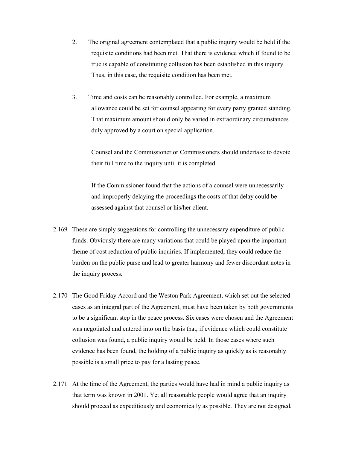- 2. The original agreement contemplated that a public inquiry would be held if the requisite conditions had been met. That there is evidence which if found to be true is capable of constituting collusion has been established in this inquiry. Thus, in this case, the requisite condition has been met.
- 3. Time and costs can be reasonably controlled. For example, a maximum allowance could be set for counsel appearing for every party granted standing. That maximum amount should only be varied in extraordinary circumstances duly approved by a court on special application.

 Counsel and the Commissioner or Commissioners should undertake to devote their full time to the inquiry until it is completed.

 If the Commissioner found that the actions of a counsel were unnecessarily and improperly delaying the proceedings the costs of that delay could be assessed against that counsel or his/her client.

- 2.169 These are simply suggestions for controlling the unnecessary expenditure of public funds. Obviously there are many variations that could be played upon the important theme of cost reduction of public inquiries. If implemented, they could reduce the burden on the public purse and lead to greater harmony and fewer discordant notes in the inquiry process.
- 2.170 The Good Friday Accord and the Weston Park Agreement, which set out the selected cases as an integral part of the Agreement, must have been taken by both governments to be a significant step in the peace process. Six cases were chosen and the Agreement was negotiated and entered into on the basis that, if evidence which could constitute collusion was found, a public inquiry would be held. In those cases where such evidence has been found, the holding of a public inquiry as quickly as is reasonably possible is a small price to pay for a lasting peace.
- 2.171 At the time of the Agreement, the parties would have had in mind a public inquiry as that term was known in 2001. Yet all reasonable people would agree that an inquiry should proceed as expeditiously and economically as possible. They are not designed,